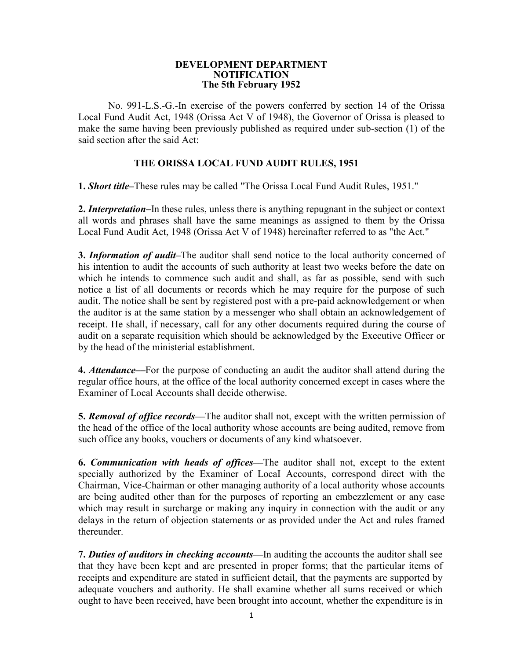#### **DEVELOPMENT DEPARTMENT NOTIFICATION The 5th February 1952**

No. 991-L.S.-G.-In exercise of the powers conferred by section 14 of the Orissa Local Fund Audit Act, 1948 (Orissa Act V of 1948), the Governor of Orissa is pleased to make the same having been previously published as required under sub-section (1) of the said section after the said Act:

### **THE ORISSA LOCAL FUND AUDIT RULES, 1951**

**1.** *Short title***–**These rules may be called "The Orissa Local Fund Audit Rules, 1951."

**2.** *Interpretation***–**In these rules, unless there is anything repugnant in the subject or context all words and phrases shall have the same meanings as assigned to them by the Orissa Local Fund Audit Act, 1948 (Orissa Act V of 1948) hereinafter referred to as "the Act."

**3.** *Information of audit***–**The auditor shall send notice to the local authority concerned of his intention to audit the accounts of such authority at least two weeks before the date on which he intends to commence such audit and shall, as far as possible, send with such notice a list of all documents or records which he may require for the purpose of such audit. The notice shall be sent by registered post with a pre-paid acknowledgement or when the auditor is at the same station by a messenger who shall obtain an acknowledgement of receipt. He shall, if necessary, call for any other documents required during the course of audit on a separate requisition which should be acknowledged by the Executive Officer or by the head of the ministerial establishment.

**4.** *Attendance***––**For the purpose of conducting an audit the auditor shall attend during the regular office hours, at the office of the local authority concerned except in cases where the Examiner of Local Accounts shall decide otherwise.

**5.** *Removal of office records***––**The auditor shall not, except with the written permission of the head of the office of the local authority whose accounts are being audited, remove from such office any books, vouchers or documents of any kind whatsoever.

**6.** *Communication with heads of offices***––**The auditor shall not, except to the extent specially authorized by the Examiner of LocaI Accounts, correspond direct with the Chairman, Vice-Chairman or other managing authority of a local authority whose accounts are being audited other than for the purposes of reporting an embezzlement or any case which may result in surcharge or making any inquiry in connection with the audit or any delays in the return of objection statements or as provided under the Act and rules framed thereunder.

**7.** *Duties of auditors in checking accounts***––**In auditing the accounts the auditor shall see that they have been kept and are presented in proper forms; that the particular items of receipts and expenditure are stated in sufficient detail, that the payments are supported by adequate vouchers and authority. He shall examine whether all sums received or which ought to have been received, have been brought into account, whether the expenditure is in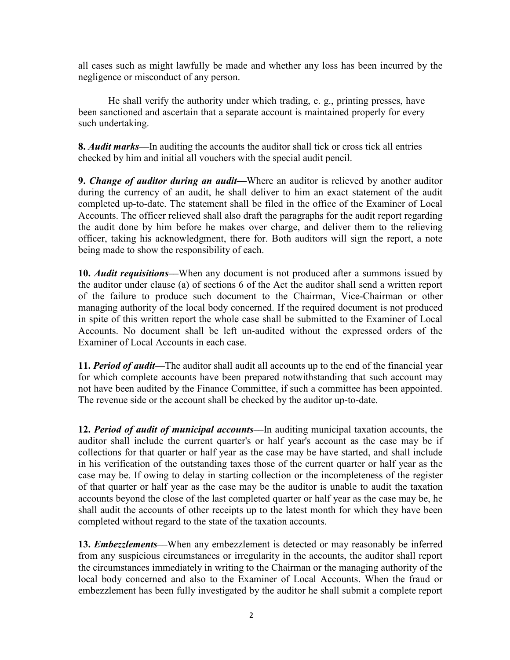all cases such as might lawfully be made and whether any loss has been incurred by the negligence or misconduct of any person.

He shall verify the authority under which trading, e. g., printing presses, have been sanctioned and ascertain that a separate account is maintained properly for every such undertaking.

**8.** *Audit marks***––**In auditing the accounts the auditor shall tick or cross tick all entries checked by him and initial all vouchers with the special audit pencil.

**9.** *Change of auditor during an audit***––**Where an auditor is relieved by another auditor during the currency of an audit, he shall deliver to him an exact statement of the audit completed up-to-date. The statement shall be filed in the office of the Examiner of Local Accounts. The officer relieved shall also draft the paragraphs for the audit report regarding the audit done by him before he makes over charge, and deliver them to the relieving officer, taking his acknowledgment, there for. Both auditors will sign the report, a note being made to show the responsibility of each.

**10.** *Audit requisitions***—When any document is not produced after a summons issued by** the auditor under clause (a) of sections 6 of the Act the auditor shall send a written report of the failure to produce such document to the Chairman, Vice-Chairman or other managing authority of the local body concerned. If the required document is not produced in spite of this written report the whole case shall be submitted to the Examiner of Local Accounts. No document shall be left un-audited without the expressed orders of the Examiner of Local Accounts in each case.

**11.** *Period of audit––*The auditor shall audit all accounts up to the end of the financial year for which complete accounts have been prepared notwithstanding that such account may not have been audited by the Finance Committee, if such a committee has been appointed. The revenue side or the account shall be checked by the auditor up-to-date.

**12.** *Period of audit of municipal accounts––*In auditing municipal taxation accounts, the auditor shall include the current quarter's or half year's account as the case may be if collections for that quarter or half year as the case may be have started, and shall include in his verification of the outstanding taxes those of the current quarter or half year as the case may be. If owing to delay in starting collection or the incompleteness of the register of that quarter or half year as the case may be the auditor is unable to audit the taxation accounts beyond the close of the last completed quarter or half year as the case may be, he shall audit the accounts of other receipts up to the latest month for which they have been completed without regard to the state of the taxation accounts.

**13.** *Embezzlements***––**When any embezzlement is detected or may reasonably be inferred from any suspicious circumstances or irregularity in the accounts, the auditor shall report the circumstances immediately in writing to the Chairman or the managing authority of the local body concerned and also to the Examiner of Local Accounts. When the fraud or embezzlement has been fully investigated by the auditor he shall submit a complete report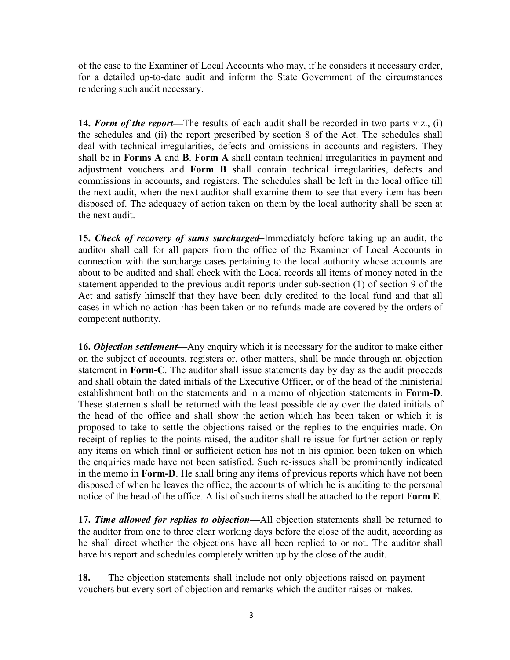of the case to the Examiner of Local Accounts who may, if he considers it necessary order, for a detailed up-to-date audit and inform the State Government of the circumstances rendering such audit necessary.

**14.** *Form of the report––*The results of each audit shall be recorded in two parts viz., (i) the schedules and (ii) the report prescribed by section 8 of the Act. The schedules shall deal with technical irregularities, defects and omissions in accounts and registers. They shall be in **Forms A** and **B**. **Form A** shall contain technical irregularities in payment and adjustment vouchers and **Form B** shall contain technical irregularities, defects and commissions in accounts, and registers. The schedules shall be left in the local office till the next audit, when the next auditor shall examine them to see that every item has been disposed of. The adequacy of action taken on them by the local authority shall be seen at the next audit.

**15.** *Check of recovery of sums surcharged–*Immediately before taking up an audit, the auditor shall call for all papers from the office of the Examiner of Local Accounts in connection with the surcharge cases pertaining to the local authority whose accounts are about to be audited and shall check with the Local records all items of money noted in the statement appended to the previous audit reports under sub-section (1) of section 9 of the Act and satisfy himself that they have been duly credited to the local fund and that all cases in which no action ·has been taken or no refunds made are covered by the orders of competent authority.

**16.** *Objection settlement***––**Any enquiry which it is necessary for the auditor to make either on the subject of accounts, registers or, other matters, shall be made through an objection statement in **Form-C**. The auditor shall issue statements day by day as the audit proceeds and shall obtain the dated initials of the Executive Officer, or of the head of the ministerial establishment both on the statements and in a memo of objection statements in **Form-D**. These statements shall be returned with the least possible delay over the dated initials of the head of the office and shall show the action which has been taken or which it is proposed to take to settle the objections raised or the replies to the enquiries made. On receipt of replies to the points raised, the auditor shall re-issue for further action or reply any items on which final or sufficient action has not in his opinion been taken on which the enquiries made have not been satisfied. Such re-issues shall be prominently indicated in the memo in **Form-D**. He shall bring any items of previous reports which have not been disposed of when he leaves the office, the accounts of which he is auditing to the personal notice of the head of the office. A list of such items shall be attached to the report **Form E**.

**17.** *Time allowed for replies to objection***––**All objection statements shall be returned to the auditor from one to three clear working days before the close of the audit, according as he shall direct whether the objections have all been replied to or not. The auditor shall have his report and schedules completely written up by the close of the audit.

**18.** The objection statements shall include not only objections raised on payment vouchers but every sort of objection and remarks which the auditor raises or makes.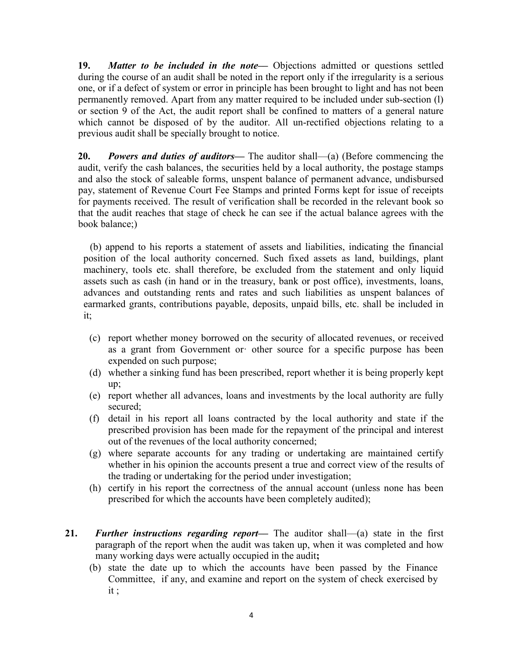**19.** *Matter to be included in the note*— Objections admitted or questions settled during the course of an audit shall be noted in the report only if the irregularity is a serious one, or if a defect of system or error in principle has been brought to light and has not been permanently removed. Apart from any matter required to be included under sub-section (l) or section 9 of the Act, the audit report shall be confined to matters of a general nature which cannot be disposed of by the auditor. All un-rectified objections relating to a previous audit shall be specially brought to notice.

**20.** *Powers and duties of auditors***––** The auditor shall––(a) (Before commencing the audit, verify the cash balances, the securities held by a local authority, the postage stamps and also the stock of saleable forms, unspent balance of permanent advance, undisbursed pay, statement of Revenue Court Fee Stamps and printed Forms kept for issue of receipts for payments received. The result of verification shall be recorded in the relevant book so that the audit reaches that stage of check he can see if the actual balance agrees with the book balance;)

(b) append to his reports a statement of assets and liabilities, indicating the financial position of the local authority concerned. Such fixed assets as land, buildings, plant machinery, tools etc. shall therefore, be excluded from the statement and only liquid assets such as cash (in hand or in the treasury, bank or post office), investments, loans, advances and outstanding rents and rates and such liabilities as unspent balances of earmarked grants, contributions payable, deposits, unpaid bills, etc. shall be included in it;

- (c) report whether money borrowed on the security of allocated revenues, or received as a grant from Government or· other source for a specific purpose has been expended on such purpose;
- (d) whether a sinking fund has been prescribed, report whether it is being properly kept up;
- (e) report whether all advances, loans and investments by the local authority are fully secured;
- (f) detail in his report all loans contracted by the local authority and state if the prescribed provision has been made for the repayment of the principal and interest out of the revenues of the local authority concerned;
- (g) where separate accounts for any trading or undertaking are maintained certify whether in his opinion the accounts present a true and correct view of the results of the trading or undertaking for the period under investigation;
- (h) certify in his report the correctness of the annual account (unless none has been prescribed for which the accounts have been completely audited);
- **21.** *Further instructions regarding report* The auditor shall—(a) state in the first paragraph of the report when the audit was taken up, when it was completed and how many working days were actually occupied in the audit**;** 
	- (b) state the date up to which the accounts have been passed by the Finance Committee, if any, and examine and report on the system of check exercised by it ;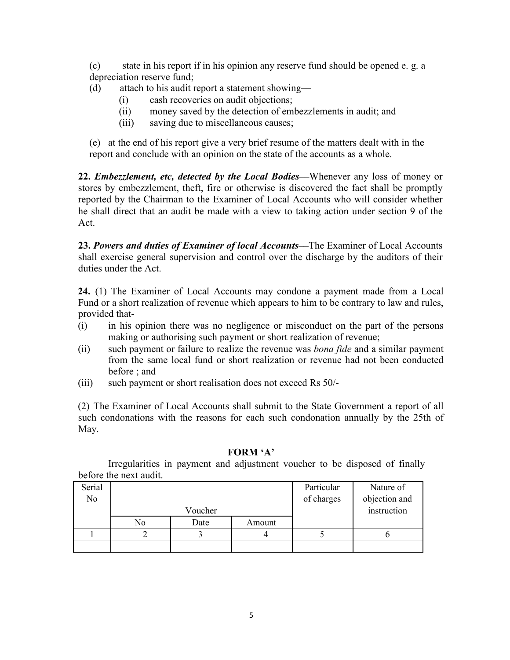(c) state in his report if in his opinion any reserve fund should be opened e. g. a depreciation reserve fund;

- (d) attach to his audit report a statement showing––
	- (i) cash recoveries on audit objections;
	- (ii) money saved by the detection of embezzlements in audit; and
	- (iii) saving due to miscellaneous causes;

(e) at the end of his report give a very brief resume of the matters dealt with in the report and conclude with an opinion on the state of the accounts as a whole.

**22.** *Embezzlement, etc, detected by the Local Bodies***––**Whenever any loss of money or stores by embezzlement, theft, fire or otherwise is discovered the fact shall be promptly reported by the Chairman to the Examiner of Local Accounts who will consider whether he shall direct that an audit be made with a view to taking action under section 9 of the Act.

**23.** *Powers and duties of Examiner of local Accounts***––**The Examiner of Local Accounts shall exercise general supervision and control over the discharge by the auditors of their duties under the Act.

**24.** (1) The Examiner of Local Accounts may condone a payment made from a Local Fund or a short realization of revenue which appears to him to be contrary to law and rules, provided that-

- (i) in his opinion there was no negligence or misconduct on the part of the persons making or authorising such payment or short realization of revenue;
- (ii) such payment or failure to realize the revenue was *bona fide* and a similar payment from the same local fund or short realization or revenue had not been conducted before ; and
- (iii) such payment or short realisation does not exceed Rs 50/-

(2) The Examiner of Local Accounts shall submit to the State Government a report of all such condonations with the reasons for each such condonation annually by the 25th of May.

#### **FORM 'A'**

Irregularities in payment and adjustment voucher to be disposed of finally before the next audit.

| Serial |    |         |        | Particular  | Nature of     |
|--------|----|---------|--------|-------------|---------------|
| No     |    |         |        | of charges  | objection and |
|        |    | Voucher |        | instruction |               |
|        | No | Date    | Amount |             |               |
|        |    |         |        |             |               |
|        |    |         |        |             |               |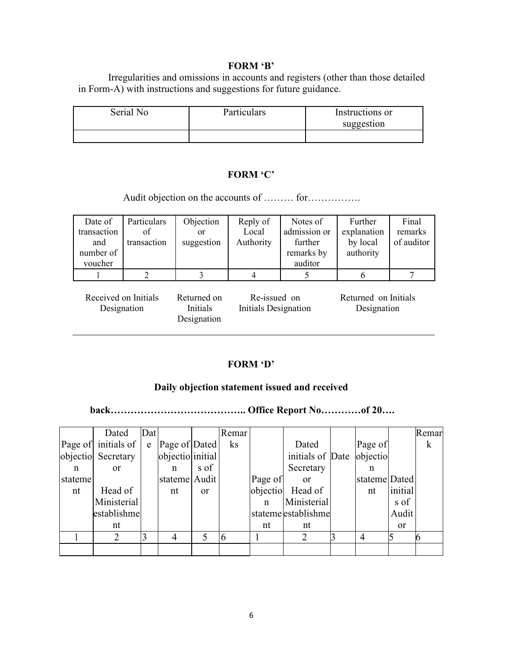#### **FORM 'B'**

Irregularities and omissions in accounts and registers (other than those detailed in Form-A) with instructions and suggestions for future guidance.

| Serial No | <b>Particulars</b> | Instructions or |
|-----------|--------------------|-----------------|
|           |                    | suggestion      |
|           |                    |                 |

## **FORM 'C'**

Audit objection on the accounts of ……… for…………….

| Date of                             | Particulars | Objection                              | Reply of                             | Notes of     | Further                             | Final      |
|-------------------------------------|-------------|----------------------------------------|--------------------------------------|--------------|-------------------------------------|------------|
| transaction                         | of          | or                                     | Local                                | admission or | explanation                         | remarks    |
| and                                 | transaction | suggestion                             | Authority                            | further      | by local                            | of auditor |
| number of                           |             |                                        |                                      | remarks by   | authority                           |            |
| voucher                             |             |                                        |                                      | auditor      |                                     |            |
|                                     |             |                                        |                                      |              | 6                                   |            |
| Received on Initials<br>Designation |             | Returned on<br>Initials<br>Designation | Re-issued on<br>Initials Designation |              | Returned on Initials<br>Designation |            |

## **FORM 'D'**

### **Daily objection statement issued and received**

**back………………………………….. Office Report No…………of 20….** 

|         | Dated               | Dat |                  |               | Remar <sup>®</sup> |          |                     |                |           | Remar   |
|---------|---------------------|-----|------------------|---------------|--------------------|----------|---------------------|----------------|-----------|---------|
|         | Page of initials of | e   | Page of Dated    |               | ks                 |          | Dated               | Page of        |           | $\bf k$ |
|         | objectio Secretary  |     | objectio initial |               |                    |          | initials of Date    | objectio       |           |         |
| n       | <sub>or</sub>       |     | n                | s of          |                    |          | Secretary           | n              |           |         |
| stateme |                     |     | stateme Audit    |               |                    | Page of  | <sub>or</sub>       | stateme Dated  |           |         |
| nt      | Head of             |     | nt               | <sub>or</sub> |                    | objectio | Head of             | nt             | initial   |         |
|         | Ministerial         |     |                  |               |                    | n        | Ministerial         |                | s of      |         |
|         | establishme         |     |                  |               |                    |          | stateme establishme |                | Audit     |         |
|         | nt                  |     |                  |               |                    | nt       | nt                  |                | <b>or</b> |         |
|         |                     | 3   | 4                | 5             | 6                  |          | 2                   | $\overline{4}$ |           |         |
|         |                     |     |                  |               |                    |          |                     |                |           |         |